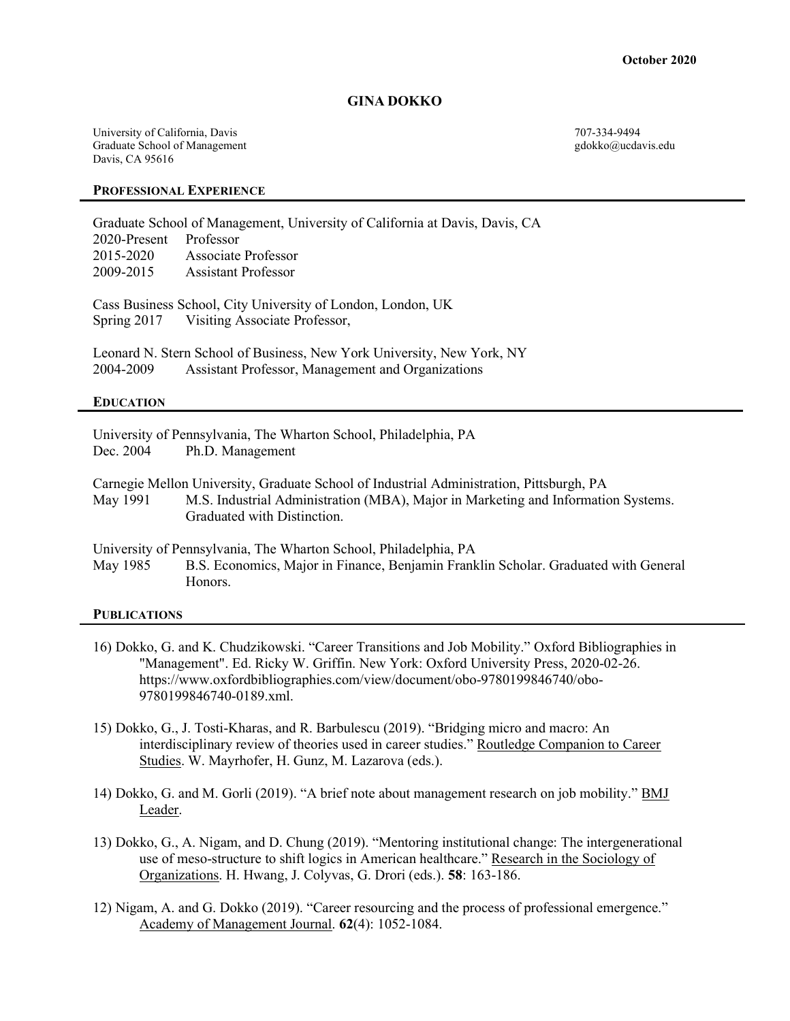#### GINA DOKKO

University of California, Davis 707-334-9494 Graduate School of Management Graduate School of Management gdokko@ucdavis.edu Davis, CA 95616

#### PROFESSIONAL EXPERIENCE

Graduate School of Management, University of California at Davis, Davis, CA 2020-Present Professor 2015-2020 Associate Professor 2009-2015 Assistant Professor

Cass Business School, City University of London, London, UK Spring 2017 Visiting Associate Professor,

Leonard N. Stern School of Business, New York University, New York, NY 2004-2009 Assistant Professor, Management and Organizations

#### EDUCATION

University of Pennsylvania, The Wharton School, Philadelphia, PA Dec. 2004 Ph.D. Management

Carnegie Mellon University, Graduate School of Industrial Administration, Pittsburgh, PA May 1991 M.S. Industrial Administration (MBA), Major in Marketing and Information Systems. Graduated with Distinction.

University of Pennsylvania, The Wharton School, Philadelphia, PA

May 1985 B.S. Economics, Major in Finance, Benjamin Franklin Scholar. Graduated with General Honors.

#### **PUBLICATIONS**

- 16) Dokko, G. and K. Chudzikowski. "Career Transitions and Job Mobility." Oxford Bibliographies in "Management". Ed. Ricky W. Griffin. New York: Oxford University Press, 2020-02-26. https://www.oxfordbibliographies.com/view/document/obo-9780199846740/obo-9780199846740-0189.xml.
- 15) Dokko, G., J. Tosti-Kharas, and R. Barbulescu (2019). "Bridging micro and macro: An interdisciplinary review of theories used in career studies." Routledge Companion to Career Studies. W. Mayrhofer, H. Gunz, M. Lazarova (eds.).
- 14) Dokko, G. and M. Gorli (2019). "A brief note about management research on job mobility." BMJ Leader.
- 13) Dokko, G., A. Nigam, and D. Chung (2019). "Mentoring institutional change: The intergenerational use of meso-structure to shift logics in American healthcare." Research in the Sociology of Organizations. H. Hwang, J. Colyvas, G. Drori (eds.). 58: 163-186.
- 12) Nigam, A. and G. Dokko (2019). "Career resourcing and the process of professional emergence." Academy of Management Journal. 62(4): 1052-1084.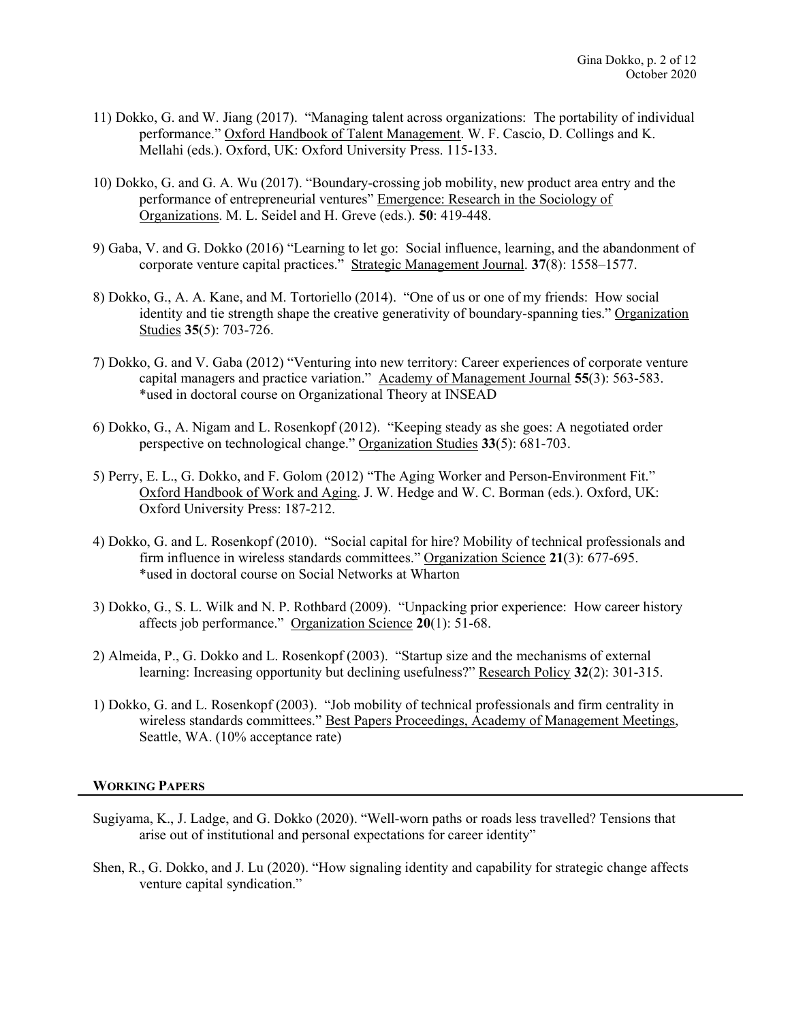- 11) Dokko, G. and W. Jiang (2017). "Managing talent across organizations: The portability of individual performance." Oxford Handbook of Talent Management. W. F. Cascio, D. Collings and K. Mellahi (eds.). Oxford, UK: Oxford University Press. 115-133.
- 10) Dokko, G. and G. A. Wu (2017). "Boundary-crossing job mobility, new product area entry and the performance of entrepreneurial ventures" Emergence: Research in the Sociology of Organizations. M. L. Seidel and H. Greve (eds.). 50: 419-448.
- 9) Gaba, V. and G. Dokko (2016) "Learning to let go: Social influence, learning, and the abandonment of corporate venture capital practices." Strategic Management Journal. 37(8): 1558–1577.
- 8) Dokko, G., A. A. Kane, and M. Tortoriello (2014). "One of us or one of my friends: How social identity and tie strength shape the creative generativity of boundary-spanning ties." Organization Studies 35(5): 703-726.
- 7) Dokko, G. and V. Gaba (2012) "Venturing into new territory: Career experiences of corporate venture capital managers and practice variation." Academy of Management Journal 55(3): 563-583. \*used in doctoral course on Organizational Theory at INSEAD
- 6) Dokko, G., A. Nigam and L. Rosenkopf (2012). "Keeping steady as she goes: A negotiated order perspective on technological change." Organization Studies 33(5): 681-703.
- 5) Perry, E. L., G. Dokko, and F. Golom (2012) "The Aging Worker and Person-Environment Fit." Oxford Handbook of Work and Aging. J. W. Hedge and W. C. Borman (eds.). Oxford, UK: Oxford University Press: 187-212.
- 4) Dokko, G. and L. Rosenkopf (2010). "Social capital for hire? Mobility of technical professionals and firm influence in wireless standards committees." Organization Science 21(3): 677-695. \*used in doctoral course on Social Networks at Wharton
- 3) Dokko, G., S. L. Wilk and N. P. Rothbard (2009). "Unpacking prior experience: How career history affects job performance." Organization Science 20(1): 51-68.
- 2) Almeida, P., G. Dokko and L. Rosenkopf (2003). "Startup size and the mechanisms of external learning: Increasing opportunity but declining usefulness?" Research Policy 32(2): 301-315.
- 1) Dokko, G. and L. Rosenkopf (2003). "Job mobility of technical professionals and firm centrality in wireless standards committees." Best Papers Proceedings, Academy of Management Meetings, Seattle, WA. (10% acceptance rate)

#### WORKING PAPERS

- Sugiyama, K., J. Ladge, and G. Dokko (2020). "Well-worn paths or roads less travelled? Tensions that arise out of institutional and personal expectations for career identity"
- Shen, R., G. Dokko, and J. Lu (2020). "How signaling identity and capability for strategic change affects venture capital syndication."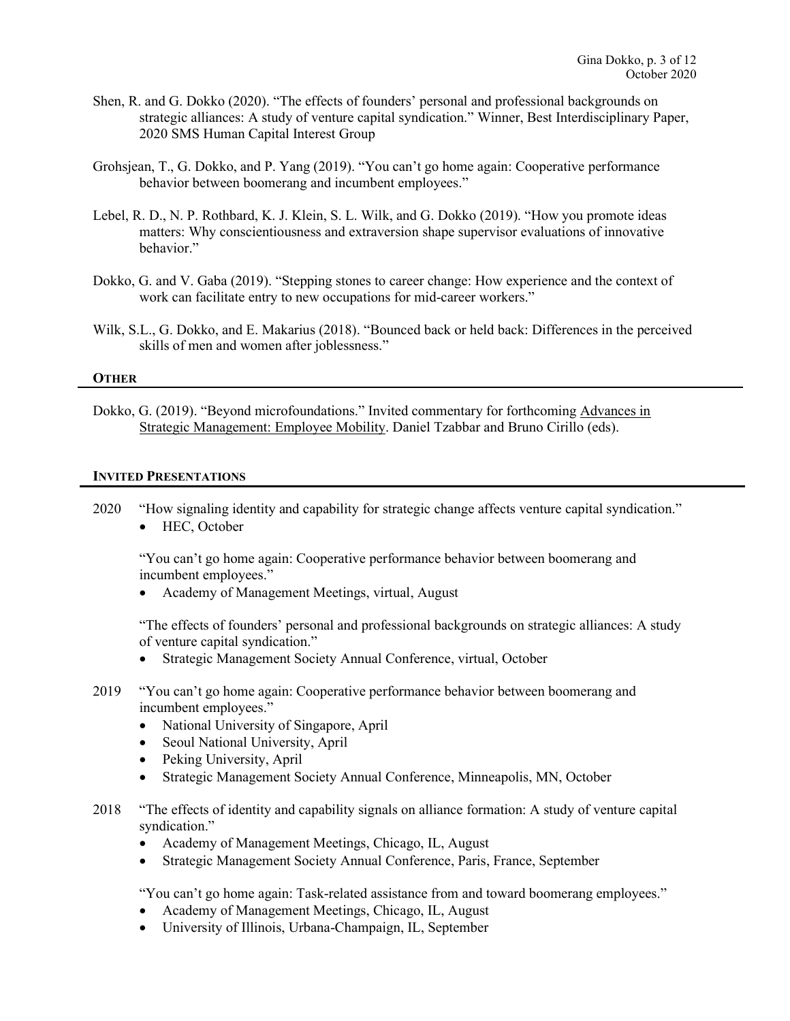- Shen, R. and G. Dokko (2020). "The effects of founders' personal and professional backgrounds on strategic alliances: A study of venture capital syndication." Winner, Best Interdisciplinary Paper, 2020 SMS Human Capital Interest Group
- Grohsjean, T., G. Dokko, and P. Yang (2019). "You can't go home again: Cooperative performance behavior between boomerang and incumbent employees."
- Lebel, R. D., N. P. Rothbard, K. J. Klein, S. L. Wilk, and G. Dokko (2019). "How you promote ideas matters: Why conscientiousness and extraversion shape supervisor evaluations of innovative behavior."
- Dokko, G. and V. Gaba (2019). "Stepping stones to career change: How experience and the context of work can facilitate entry to new occupations for mid-career workers."
- Wilk, S.L., G. Dokko, and E. Makarius (2018). "Bounced back or held back: Differences in the perceived skills of men and women after joblessness."

#### **OTHER**

Dokko, G. (2019). "Beyond microfoundations." Invited commentary for forthcoming Advances in Strategic Management: Employee Mobility. Daniel Tzabbar and Bruno Cirillo (eds).

#### INVITED PRESENTATIONS

2020 "How signaling identity and capability for strategic change affects venture capital syndication." • HEC, October

 "You can't go home again: Cooperative performance behavior between boomerang and incumbent employees."

Academy of Management Meetings, virtual, August

 "The effects of founders' personal and professional backgrounds on strategic alliances: A study of venture capital syndication."

- Strategic Management Society Annual Conference, virtual, October
- 2019 "You can't go home again: Cooperative performance behavior between boomerang and incumbent employees."
	- National University of Singapore, April
	- Seoul National University, April
	- Peking University, April
	- Strategic Management Society Annual Conference, Minneapolis, MN, October
- 2018 "The effects of identity and capability signals on alliance formation: A study of venture capital syndication."
	- Academy of Management Meetings, Chicago, IL, August
	- Strategic Management Society Annual Conference, Paris, France, September

"You can't go home again: Task-related assistance from and toward boomerang employees."

- Academy of Management Meetings, Chicago, IL, August
- University of Illinois, Urbana-Champaign, IL, September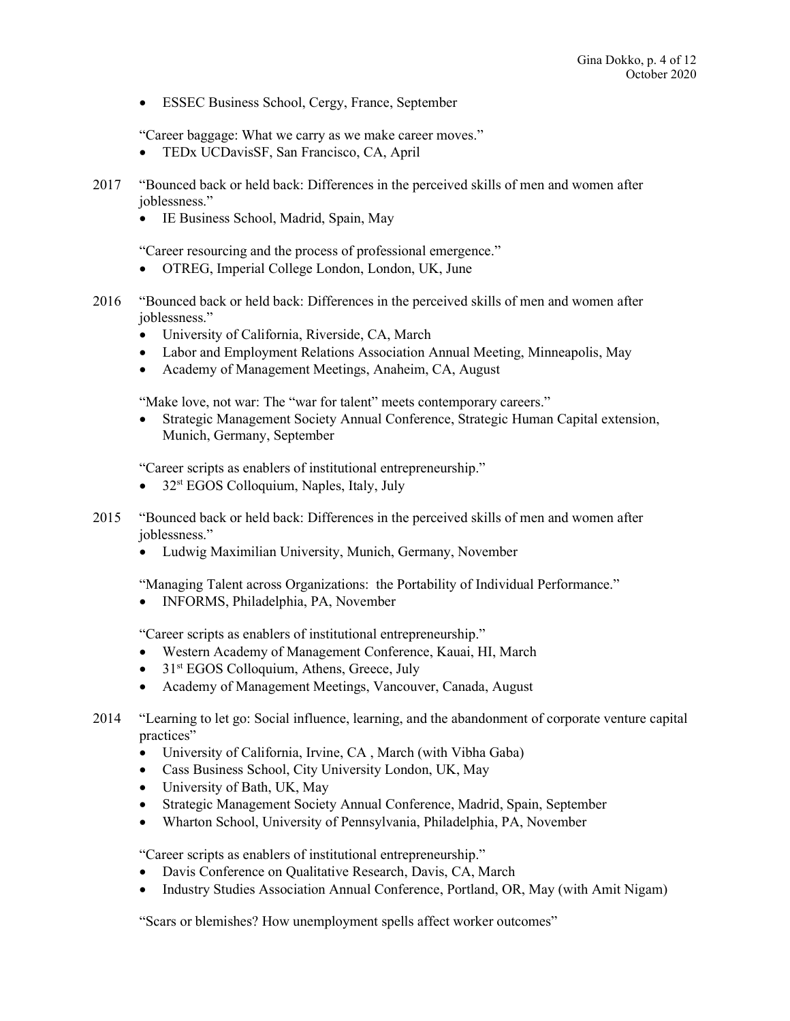ESSEC Business School, Cergy, France, September

"Career baggage: What we carry as we make career moves."

- TEDx UCDavisSF, San Francisco, CA, April
- 2017 "Bounced back or held back: Differences in the perceived skills of men and women after joblessness."
	- IE Business School, Madrid, Spain, May

"Career resourcing and the process of professional emergence."

- OTREG, Imperial College London, London, UK, June
- 2016 "Bounced back or held back: Differences in the perceived skills of men and women after joblessness."
	- University of California, Riverside, CA, March
	- Labor and Employment Relations Association Annual Meeting, Minneapolis, May
	- Academy of Management Meetings, Anaheim, CA, August

"Make love, not war: The "war for talent" meets contemporary careers."

 Strategic Management Society Annual Conference, Strategic Human Capital extension, Munich, Germany, September

"Career scripts as enablers of institutional entrepreneurship."

- $\bullet$  32<sup>st</sup> EGOS Colloquium, Naples, Italy, July
- 2015 "Bounced back or held back: Differences in the perceived skills of men and women after joblessness."
	- Ludwig Maximilian University, Munich, Germany, November

"Managing Talent across Organizations: the Portability of Individual Performance."

• INFORMS, Philadelphia, PA, November

"Career scripts as enablers of institutional entrepreneurship."

- Western Academy of Management Conference, Kauai, HI, March
- $\bullet$  31<sup>st</sup> EGOS Colloquium, Athens, Greece, July
- Academy of Management Meetings, Vancouver, Canada, August
- 2014 "Learning to let go: Social influence, learning, and the abandonment of corporate venture capital practices"
	- University of California, Irvine, CA , March (with Vibha Gaba)
	- Cass Business School, City University London, UK, May
	- University of Bath, UK, May
	- Strategic Management Society Annual Conference, Madrid, Spain, September
	- Wharton School, University of Pennsylvania, Philadelphia, PA, November

"Career scripts as enablers of institutional entrepreneurship."

- Davis Conference on Qualitative Research, Davis, CA, March
- Industry Studies Association Annual Conference, Portland, OR, May (with Amit Nigam)

"Scars or blemishes? How unemployment spells affect worker outcomes"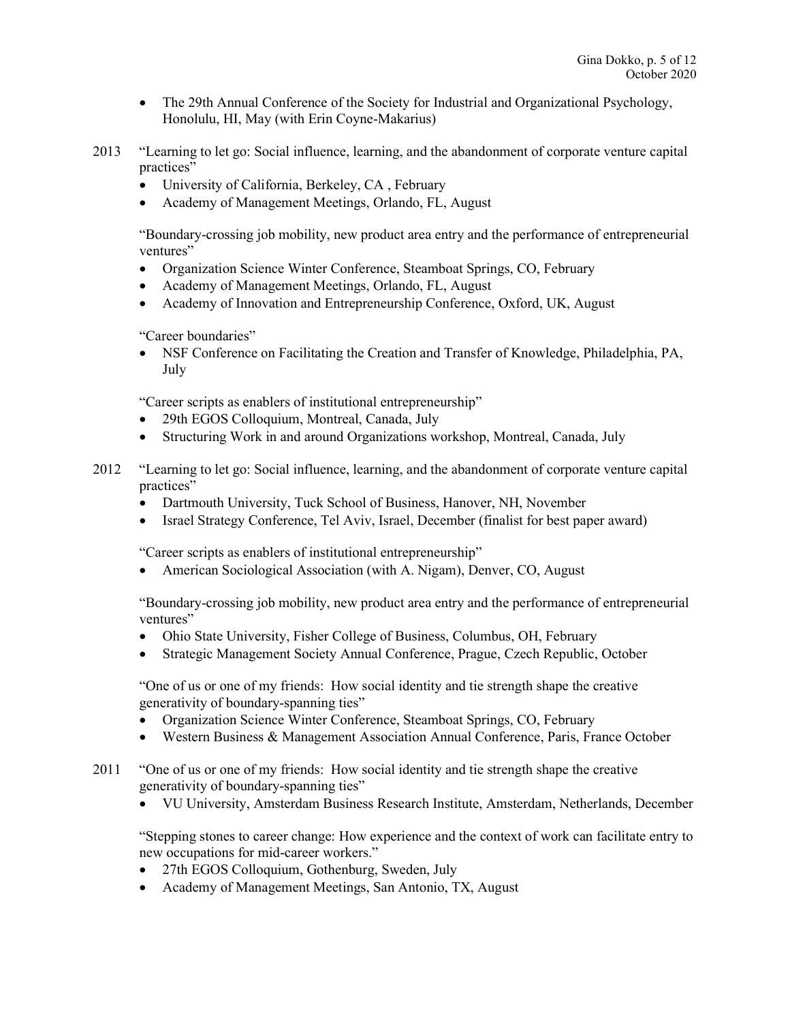- The 29th Annual Conference of the Society for Industrial and Organizational Psychology, Honolulu, HI, May (with Erin Coyne-Makarius)
- 2013 "Learning to let go: Social influence, learning, and the abandonment of corporate venture capital practices"
	- University of California, Berkeley, CA , February
	- Academy of Management Meetings, Orlando, FL, August

 "Boundary-crossing job mobility, new product area entry and the performance of entrepreneurial ventures"

- Organization Science Winter Conference, Steamboat Springs, CO, February
- Academy of Management Meetings, Orlando, FL, August
- Academy of Innovation and Entrepreneurship Conference, Oxford, UK, August

"Career boundaries"

 NSF Conference on Facilitating the Creation and Transfer of Knowledge, Philadelphia, PA, July

"Career scripts as enablers of institutional entrepreneurship"

- 29th EGOS Colloquium, Montreal, Canada, July
- Structuring Work in and around Organizations workshop, Montreal, Canada, July
- 2012 "Learning to let go: Social influence, learning, and the abandonment of corporate venture capital practices"
	- Dartmouth University, Tuck School of Business, Hanover, NH, November
	- Israel Strategy Conference, Tel Aviv, Israel, December (finalist for best paper award)

"Career scripts as enablers of institutional entrepreneurship"

American Sociological Association (with A. Nigam), Denver, CO, August

 "Boundary-crossing job mobility, new product area entry and the performance of entrepreneurial ventures"

- Ohio State University, Fisher College of Business, Columbus, OH, February
- Strategic Management Society Annual Conference, Prague, Czech Republic, October

 "One of us or one of my friends: How social identity and tie strength shape the creative generativity of boundary-spanning ties"

- Organization Science Winter Conference, Steamboat Springs, CO, February
- Western Business & Management Association Annual Conference, Paris, France October
- 2011 "One of us or one of my friends: How social identity and tie strength shape the creative generativity of boundary-spanning ties"
	- VU University, Amsterdam Business Research Institute, Amsterdam, Netherlands, December

 "Stepping stones to career change: How experience and the context of work can facilitate entry to new occupations for mid-career workers."

- 27th EGOS Colloquium, Gothenburg, Sweden, July
- Academy of Management Meetings, San Antonio, TX, August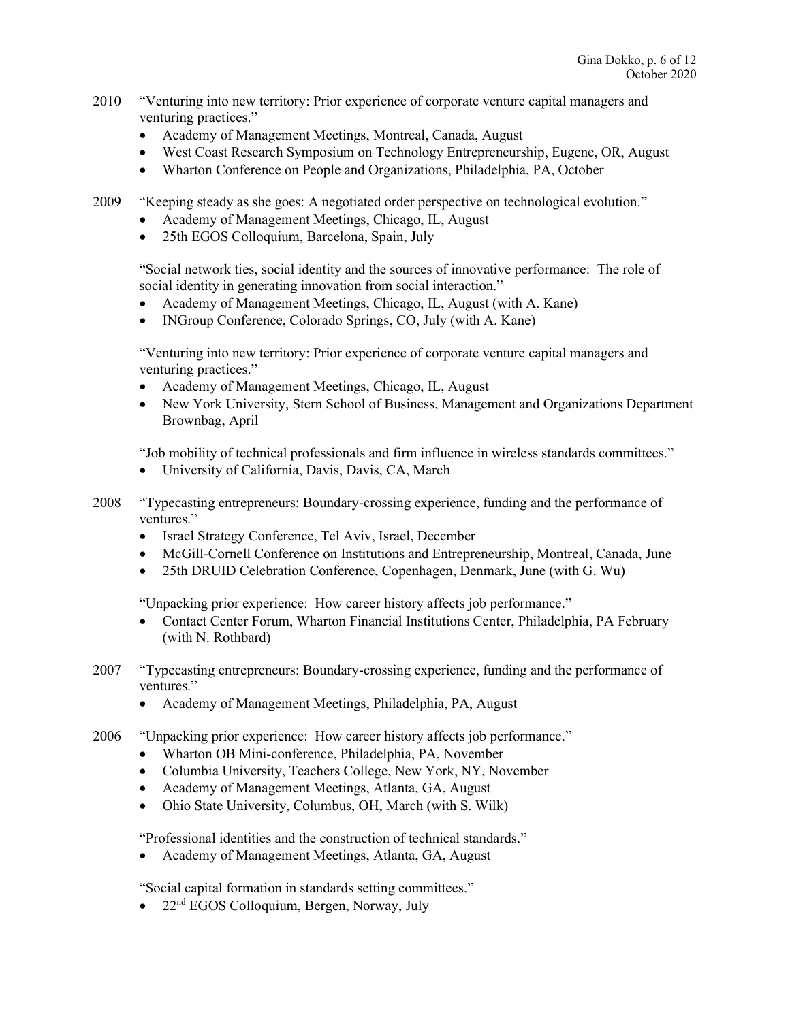- 2010 "Venturing into new territory: Prior experience of corporate venture capital managers and venturing practices."
	- Academy of Management Meetings, Montreal, Canada, August
	- West Coast Research Symposium on Technology Entrepreneurship, Eugene, OR, August
	- Wharton Conference on People and Organizations, Philadelphia, PA, October

2009 "Keeping steady as she goes: A negotiated order perspective on technological evolution."

- Academy of Management Meetings, Chicago, IL, August
- 25th EGOS Colloquium, Barcelona, Spain, July

 "Social network ties, social identity and the sources of innovative performance: The role of social identity in generating innovation from social interaction."

- Academy of Management Meetings, Chicago, IL, August (with A. Kane)
- INGroup Conference, Colorado Springs, CO, July (with A. Kane)

 "Venturing into new territory: Prior experience of corporate venture capital managers and venturing practices."

- Academy of Management Meetings, Chicago, IL, August
- New York University, Stern School of Business, Management and Organizations Department Brownbag, April

"Job mobility of technical professionals and firm influence in wireless standards committees."

- University of California, Davis, Davis, CA, March
- 2008 "Typecasting entrepreneurs: Boundary-crossing experience, funding and the performance of ventures."
	- Israel Strategy Conference, Tel Aviv, Israel, December
	- McGill-Cornell Conference on Institutions and Entrepreneurship, Montreal, Canada, June
	- 25th DRUID Celebration Conference, Copenhagen, Denmark, June (with G. Wu)

"Unpacking prior experience: How career history affects job performance."

- Contact Center Forum, Wharton Financial Institutions Center, Philadelphia, PA February (with N. Rothbard)
- 2007 "Typecasting entrepreneurs: Boundary-crossing experience, funding and the performance of ventures."
	- Academy of Management Meetings, Philadelphia, PA, August
- 2006 "Unpacking prior experience: How career history affects job performance."
	- Wharton OB Mini-conference, Philadelphia, PA, November
	- Columbia University, Teachers College, New York, NY, November
	- Academy of Management Meetings, Atlanta, GA, August
	- Ohio State University, Columbus, OH, March (with S. Wilk)

"Professional identities and the construction of technical standards."

• Academy of Management Meetings, Atlanta, GA, August

"Social capital formation in standards setting committees."

 $\bullet$  22<sup>nd</sup> EGOS Colloquium, Bergen, Norway, July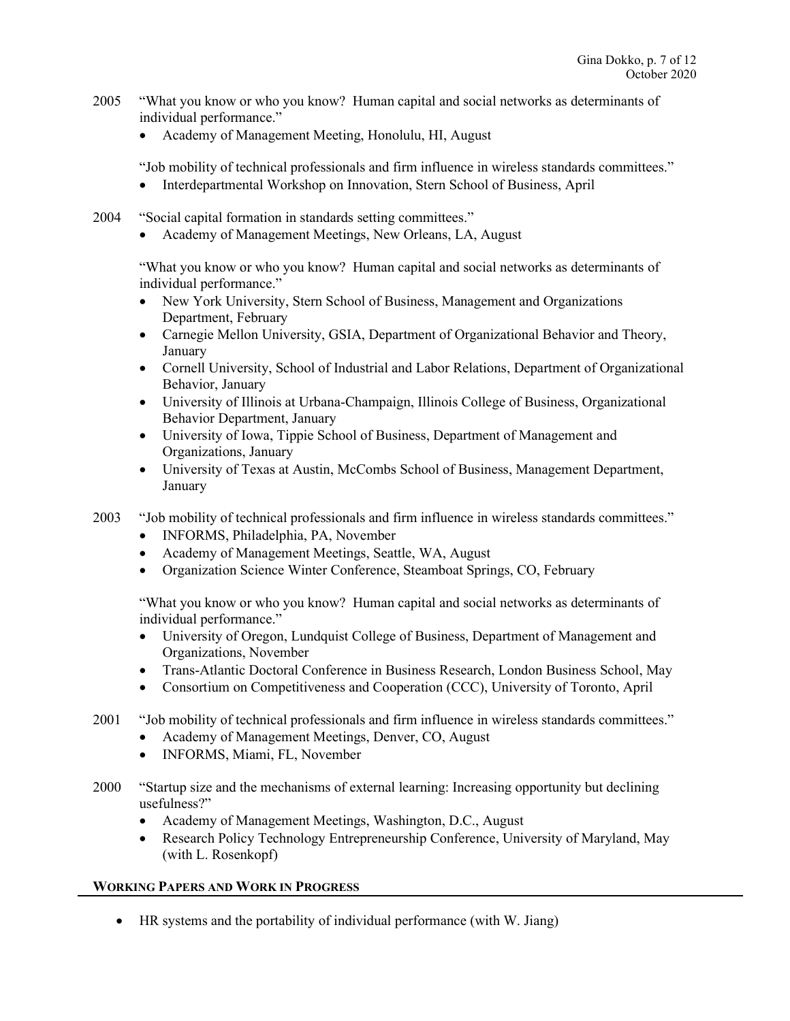- 2005 "What you know or who you know? Human capital and social networks as determinants of individual performance."
	- Academy of Management Meeting, Honolulu, HI, August

"Job mobility of technical professionals and firm influence in wireless standards committees."

- Interdepartmental Workshop on Innovation, Stern School of Business, April
- 2004 "Social capital formation in standards setting committees."
	- Academy of Management Meetings, New Orleans, LA, August

 "What you know or who you know? Human capital and social networks as determinants of individual performance."

- New York University, Stern School of Business, Management and Organizations Department, February
- Carnegie Mellon University, GSIA, Department of Organizational Behavior and Theory, January
- Cornell University, School of Industrial and Labor Relations, Department of Organizational Behavior, January
- University of Illinois at Urbana-Champaign, Illinois College of Business, Organizational Behavior Department, January
- University of Iowa, Tippie School of Business, Department of Management and Organizations, January
- University of Texas at Austin, McCombs School of Business, Management Department, January
- 2003 "Job mobility of technical professionals and firm influence in wireless standards committees."
	- INFORMS, Philadelphia, PA, November
	- Academy of Management Meetings, Seattle, WA, August
	- Organization Science Winter Conference, Steamboat Springs, CO, February

"What you know or who you know? Human capital and social networks as determinants of individual performance."

- University of Oregon, Lundquist College of Business, Department of Management and Organizations, November
- Trans-Atlantic Doctoral Conference in Business Research, London Business School, May
- Consortium on Competitiveness and Cooperation (CCC), University of Toronto, April
- 2001 "Job mobility of technical professionals and firm influence in wireless standards committees."
	- Academy of Management Meetings, Denver, CO, August
	- INFORMS, Miami, FL, November
- 2000 "Startup size and the mechanisms of external learning: Increasing opportunity but declining usefulness?"
	- Academy of Management Meetings, Washington, D.C., August
	- Research Policy Technology Entrepreneurship Conference, University of Maryland, May (with L. Rosenkopf)

## WORKING PAPERS AND WORK IN PROGRESS

HR systems and the portability of individual performance (with W. Jiang)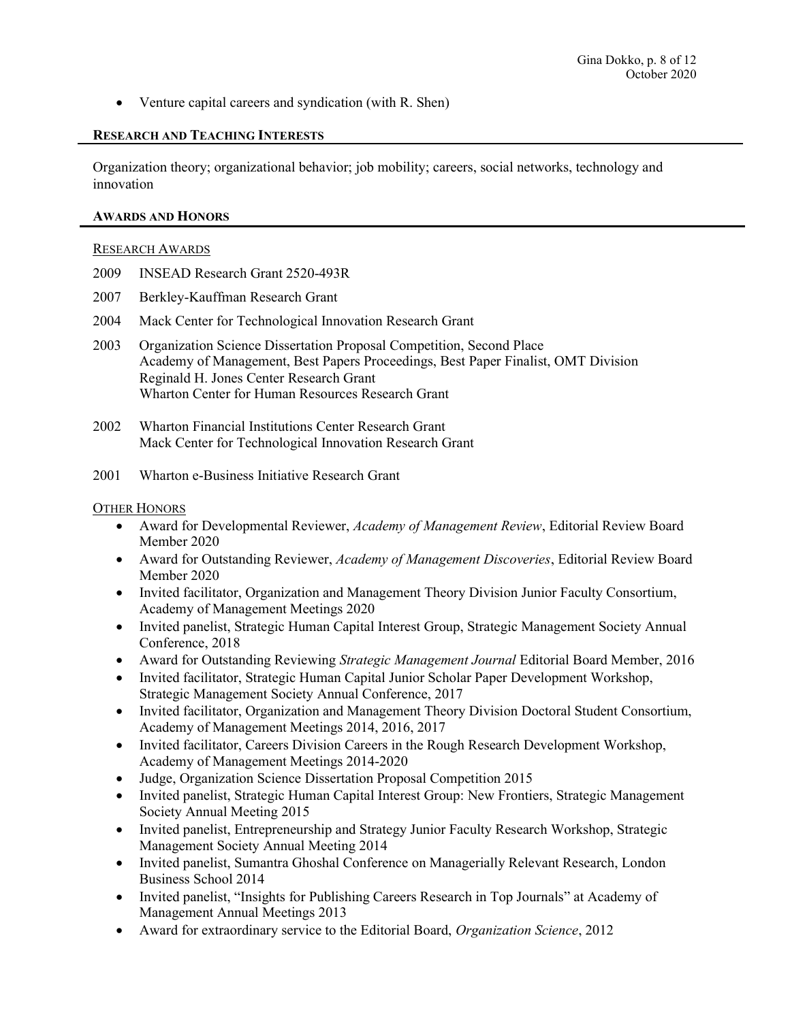• Venture capital careers and syndication (with R. Shen)

### RESEARCH AND TEACHING INTERESTS

Organization theory; organizational behavior; job mobility; careers, social networks, technology and innovation

#### AWARDS AND HONORS

#### RESEARCH AWARDS

- 2009 INSEAD Research Grant 2520-493R
- 2007 Berkley-Kauffman Research Grant
- 2004 Mack Center for Technological Innovation Research Grant
- 2003 Organization Science Dissertation Proposal Competition, Second Place Academy of Management, Best Papers Proceedings, Best Paper Finalist, OMT Division Reginald H. Jones Center Research Grant Wharton Center for Human Resources Research Grant
- 2002 Wharton Financial Institutions Center Research Grant Mack Center for Technological Innovation Research Grant
- 2001 Wharton e-Business Initiative Research Grant

### OTHER HONORS

- Award for Developmental Reviewer, Academy of Management Review, Editorial Review Board Member 2020
- Award for Outstanding Reviewer, Academy of Management Discoveries, Editorial Review Board Member 2020
- Invited facilitator, Organization and Management Theory Division Junior Faculty Consortium, Academy of Management Meetings 2020
- Invited panelist, Strategic Human Capital Interest Group, Strategic Management Society Annual Conference, 2018
- Award for Outstanding Reviewing Strategic Management Journal Editorial Board Member, 2016
- Invited facilitator, Strategic Human Capital Junior Scholar Paper Development Workshop, Strategic Management Society Annual Conference, 2017
- Invited facilitator, Organization and Management Theory Division Doctoral Student Consortium, Academy of Management Meetings 2014, 2016, 2017
- Invited facilitator, Careers Division Careers in the Rough Research Development Workshop, Academy of Management Meetings 2014-2020
- Judge, Organization Science Dissertation Proposal Competition 2015
- Invited panelist, Strategic Human Capital Interest Group: New Frontiers, Strategic Management Society Annual Meeting 2015
- Invited panelist, Entrepreneurship and Strategy Junior Faculty Research Workshop, Strategic Management Society Annual Meeting 2014
- Invited panelist, Sumantra Ghoshal Conference on Managerially Relevant Research, London Business School 2014
- Invited panelist, "Insights for Publishing Careers Research in Top Journals" at Academy of Management Annual Meetings 2013
- Award for extraordinary service to the Editorial Board, Organization Science, 2012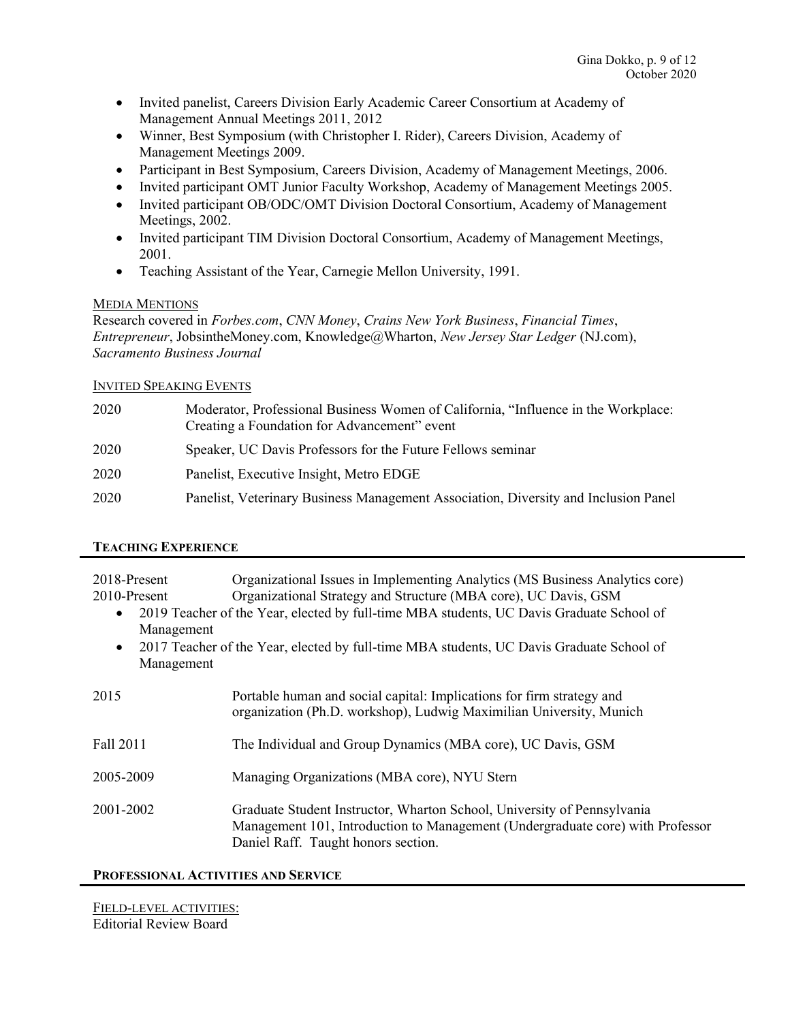- Invited panelist, Careers Division Early Academic Career Consortium at Academy of Management Annual Meetings 2011, 2012
- Winner, Best Symposium (with Christopher I. Rider), Careers Division, Academy of Management Meetings 2009.
- Participant in Best Symposium, Careers Division, Academy of Management Meetings, 2006.
- Invited participant OMT Junior Faculty Workshop, Academy of Management Meetings 2005.
- Invited participant OB/ODC/OMT Division Doctoral Consortium, Academy of Management Meetings, 2002.
- Invited participant TIM Division Doctoral Consortium, Academy of Management Meetings, 2001.
- Teaching Assistant of the Year, Carnegie Mellon University, 1991.

## MEDIA MENTIONS

Research covered in Forbes.com, CNN Money, Crains New York Business, Financial Times, Entrepreneur, JobsintheMoney.com, Knowledge@Wharton, New Jersey Star Ledger (NJ.com), Sacramento Business Journal

## INVITED SPEAKING EVENTS

| 2020 | Moderator, Professional Business Women of California, "Influence in the Workplace:<br>Creating a Foundation for Advancement" event |
|------|------------------------------------------------------------------------------------------------------------------------------------|
| 2020 | Speaker, UC Davis Professors for the Future Fellows seminar                                                                        |
| 2020 | Panelist, Executive Insight, Metro EDGE                                                                                            |
| 2020 | Panelist, Veterinary Business Management Association, Diversity and Inclusion Panel                                                |

## TEACHING EXPERIENCE

| 2018-Present<br>2010-Present<br>$\bullet$<br>Management<br>$\bullet$<br>Management | Organizational Issues in Implementing Analytics (MS Business Analytics core)<br>Organizational Strategy and Structure (MBA core), UC Davis, GSM<br>2019 Teacher of the Year, elected by full-time MBA students, UC Davis Graduate School of<br>2017 Teacher of the Year, elected by full-time MBA students, UC Davis Graduate School of |
|------------------------------------------------------------------------------------|-----------------------------------------------------------------------------------------------------------------------------------------------------------------------------------------------------------------------------------------------------------------------------------------------------------------------------------------|
| 2015                                                                               | Portable human and social capital: Implications for firm strategy and<br>organization (Ph.D. workshop), Ludwig Maximilian University, Munich                                                                                                                                                                                            |
| Fall 2011                                                                          | The Individual and Group Dynamics (MBA core), UC Davis, GSM                                                                                                                                                                                                                                                                             |
| 2005-2009                                                                          | Managing Organizations (MBA core), NYU Stern                                                                                                                                                                                                                                                                                            |
| 2001-2002                                                                          | Graduate Student Instructor, Wharton School, University of Pennsylvania<br>Management 101, Introduction to Management (Undergraduate core) with Professor<br>Daniel Raff. Taught honors section.                                                                                                                                        |

## PROFESSIONAL ACTIVITIES AND SERVICE

FIELD-LEVEL ACTIVITIES: Editorial Review Board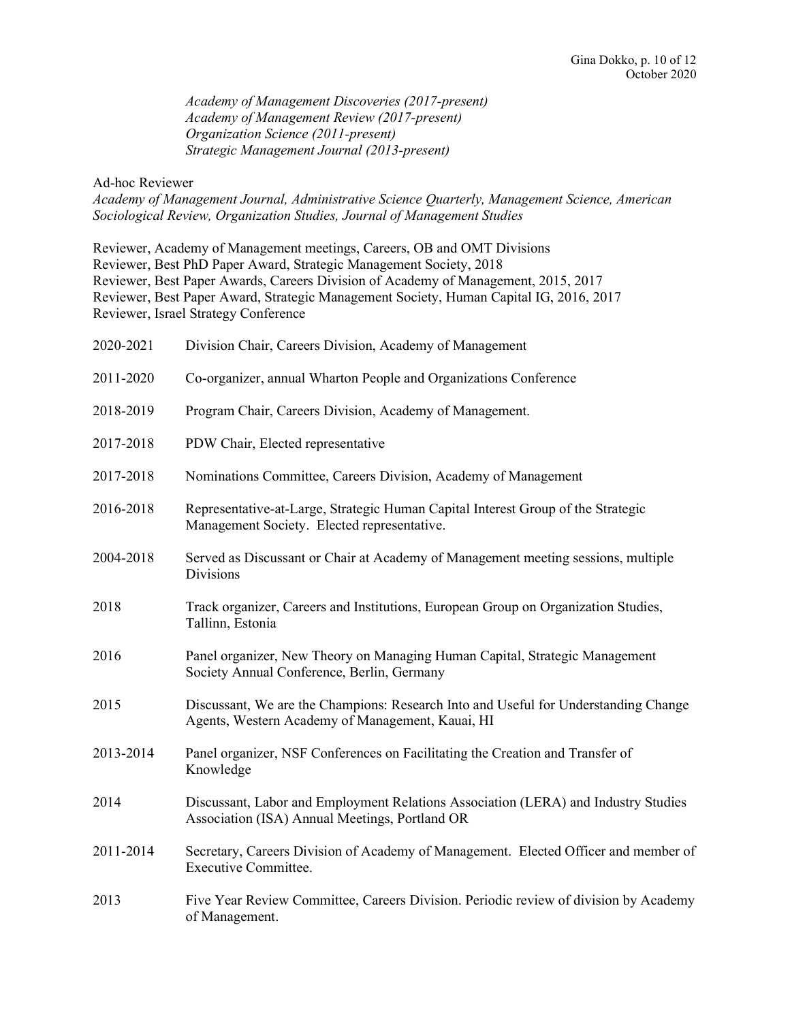Academy of Management Discoveries (2017-present) Academy of Management Review (2017-present) Organization Science (2011-present) Strategic Management Journal (2013-present)

### Ad-hoc Reviewer

Academy of Management Journal, Administrative Science Quarterly, Management Science, American Sociological Review, Organization Studies, Journal of Management Studies

| Reviewer, Academy of Management meetings, Careers, OB and OMT Divisions                |  |
|----------------------------------------------------------------------------------------|--|
| Reviewer, Best PhD Paper Award, Strategic Management Society, 2018                     |  |
| Reviewer, Best Paper Awards, Careers Division of Academy of Management, 2015, 2017     |  |
| Reviewer, Best Paper Award, Strategic Management Society, Human Capital IG, 2016, 2017 |  |
| Reviewer, Israel Strategy Conference                                                   |  |

| 2020-2021 | Division Chair, Careers Division, Academy of Management                                                                                 |
|-----------|-----------------------------------------------------------------------------------------------------------------------------------------|
| 2011-2020 | Co-organizer, annual Wharton People and Organizations Conference                                                                        |
| 2018-2019 | Program Chair, Careers Division, Academy of Management.                                                                                 |
| 2017-2018 | PDW Chair, Elected representative                                                                                                       |
| 2017-2018 | Nominations Committee, Careers Division, Academy of Management                                                                          |
| 2016-2018 | Representative-at-Large, Strategic Human Capital Interest Group of the Strategic<br>Management Society. Elected representative.         |
| 2004-2018 | Served as Discussant or Chair at Academy of Management meeting sessions, multiple<br><b>Divisions</b>                                   |
| 2018      | Track organizer, Careers and Institutions, European Group on Organization Studies,<br>Tallinn, Estonia                                  |
| 2016      | Panel organizer, New Theory on Managing Human Capital, Strategic Management<br>Society Annual Conference, Berlin, Germany               |
| 2015      | Discussant, We are the Champions: Research Into and Useful for Understanding Change<br>Agents, Western Academy of Management, Kauai, HI |
| 2013-2014 | Panel organizer, NSF Conferences on Facilitating the Creation and Transfer of<br>Knowledge                                              |
| 2014      | Discussant, Labor and Employment Relations Association (LERA) and Industry Studies<br>Association (ISA) Annual Meetings, Portland OR    |
| 2011-2014 | Secretary, Careers Division of Academy of Management. Elected Officer and member of<br><b>Executive Committee.</b>                      |
| 2013      | Five Year Review Committee, Careers Division. Periodic review of division by Academy<br>of Management.                                  |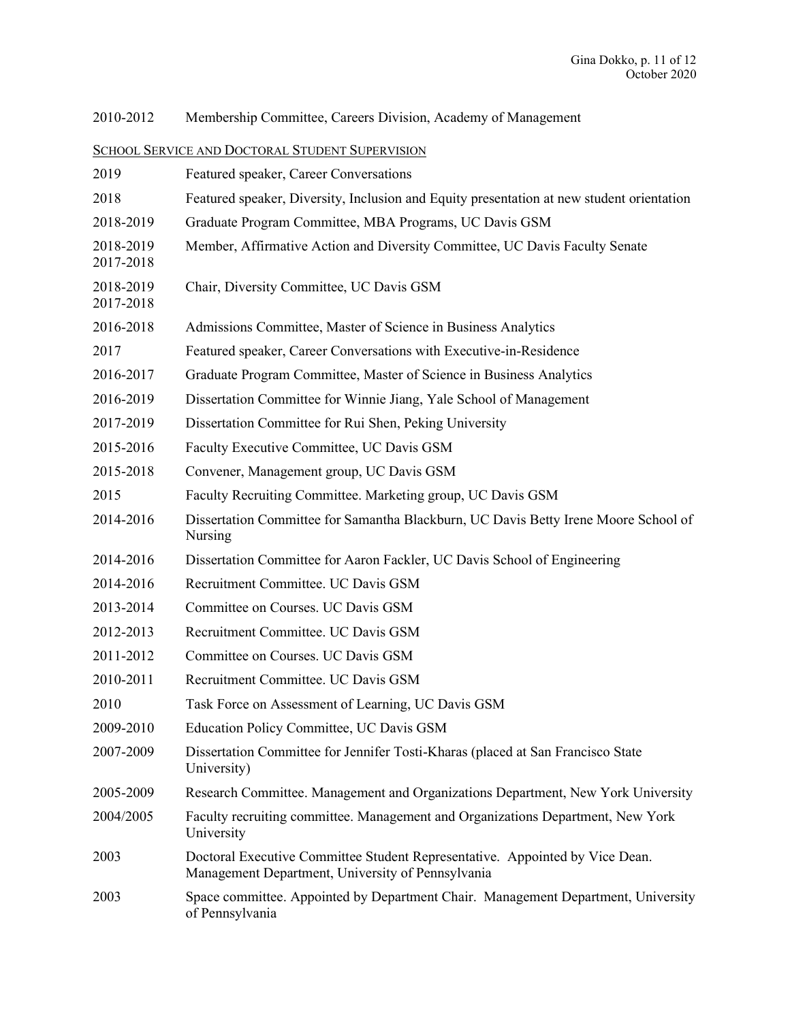2010-2012 Membership Committee, Careers Division, Academy of Management

# SCHOOL SERVICE AND DOCTORAL STUDENT SUPERVISION

| 2019                   | Featured speaker, Career Conversations                                                                                            |
|------------------------|-----------------------------------------------------------------------------------------------------------------------------------|
| 2018                   | Featured speaker, Diversity, Inclusion and Equity presentation at new student orientation                                         |
| 2018-2019              | Graduate Program Committee, MBA Programs, UC Davis GSM                                                                            |
| 2018-2019<br>2017-2018 | Member, Affirmative Action and Diversity Committee, UC Davis Faculty Senate                                                       |
| 2018-2019<br>2017-2018 | Chair, Diversity Committee, UC Davis GSM                                                                                          |
| 2016-2018              | Admissions Committee, Master of Science in Business Analytics                                                                     |
| 2017                   | Featured speaker, Career Conversations with Executive-in-Residence                                                                |
| 2016-2017              | Graduate Program Committee, Master of Science in Business Analytics                                                               |
| 2016-2019              | Dissertation Committee for Winnie Jiang, Yale School of Management                                                                |
| 2017-2019              | Dissertation Committee for Rui Shen, Peking University                                                                            |
| 2015-2016              | Faculty Executive Committee, UC Davis GSM                                                                                         |
| 2015-2018              | Convener, Management group, UC Davis GSM                                                                                          |
| 2015                   | Faculty Recruiting Committee. Marketing group, UC Davis GSM                                                                       |
| 2014-2016              | Dissertation Committee for Samantha Blackburn, UC Davis Betty Irene Moore School of<br>Nursing                                    |
| 2014-2016              | Dissertation Committee for Aaron Fackler, UC Davis School of Engineering                                                          |
| 2014-2016              | Recruitment Committee. UC Davis GSM                                                                                               |
| 2013-2014              | Committee on Courses. UC Davis GSM                                                                                                |
| 2012-2013              | Recruitment Committee. UC Davis GSM                                                                                               |
| 2011-2012              | Committee on Courses. UC Davis GSM                                                                                                |
| 2010-2011              | Recruitment Committee. UC Davis GSM                                                                                               |
| 2010                   | Task Force on Assessment of Learning, UC Davis GSM                                                                                |
| 2009-2010              | Education Policy Committee, UC Davis GSM                                                                                          |
| 2007-2009              | Dissertation Committee for Jennifer Tosti-Kharas (placed at San Francisco State<br>University)                                    |
| 2005-2009              | Research Committee. Management and Organizations Department, New York University                                                  |
| 2004/2005              | Faculty recruiting committee. Management and Organizations Department, New York<br>University                                     |
| 2003                   | Doctoral Executive Committee Student Representative. Appointed by Vice Dean.<br>Management Department, University of Pennsylvania |
| 2003                   | Space committee. Appointed by Department Chair. Management Department, University<br>of Pennsylvania                              |